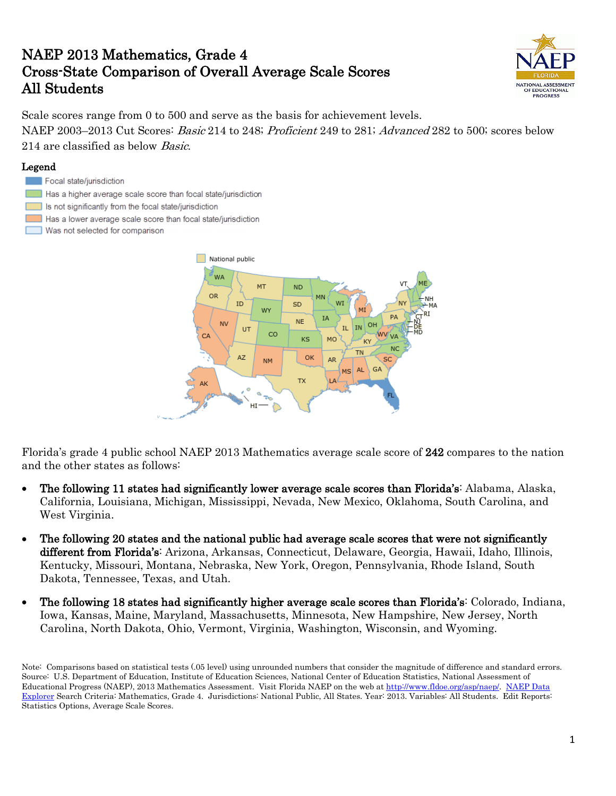# NAEP 2013 Mathematics, Grade 4 Cross-State Comparison of Overall Average Scale Scores All Students



Scale scores range from 0 to 500 and serve as the basis for achievement levels. NAEP 2003–2013 Cut Scores: Basic 214 to 248; Proficient 249 to 281; Advanced 282 to 500; scores below 214 are classified as below Basic.

### Legend

#### Focal state/jurisdiction

- Has a higher average scale score than focal state/jurisdiction
- Is not significantly from the focal state/jurisdiction
- Has a lower average scale score than focal state/jurisdiction
- Was not selected for comparison



Florida's grade 4 public school NAEP 2013 Mathematics average scale score of 242 compares to the nation and the other states as follows:

- The following 11 states had significantly lower average scale scores than Florida's: Alabama, Alaska, California, Louisiana, Michigan, Mississippi, Nevada, New Mexico, Oklahoma, South Carolina, and West Virginia.
- The following 20 states and the national public had average scale scores that were not significantly different from Florida's: Arizona, Arkansas, Connecticut, Delaware, Georgia, Hawaii, Idaho, Illinois, Kentucky, Missouri, Montana, Nebraska, New York, Oregon, Pennsylvania, Rhode Island, South Dakota, Tennessee, Texas, and Utah.
- The following 18 states had significantly higher average scale scores than Florida's: Colorado, Indiana, Iowa, Kansas, Maine, Maryland, Massachusetts, Minnesota, New Hampshire, New Jersey, North Carolina, North Dakota, Ohio, Vermont, Virginia, Washington, Wisconsin, and Wyoming.

Note: Comparisons based on statistical tests (.05 level) using unrounded numbers that consider the magnitude of difference and standard errors. Source: U.S. Department of Education, Institute of Education Sciences, National Center of Education Statistics, National Assessment of Educational Progress (NAEP), 2013 Mathematics Assessment. Visit Florida NAEP on the web at [http://www.fldoe.org/asp/naep/.](http://www.fldoe.org/asp/naep/) [NAEP Data](http://nces.ed.gov/nationsreportcard/naepdata/)  [Explorer](http://nces.ed.gov/nationsreportcard/naepdata/) Search Criteria: Mathematics, Grade 4. Jurisdictions: National Public, All States. Year: 2013. Variables: All Students. Edit Reports: Statistics Options, Average Scale Scores.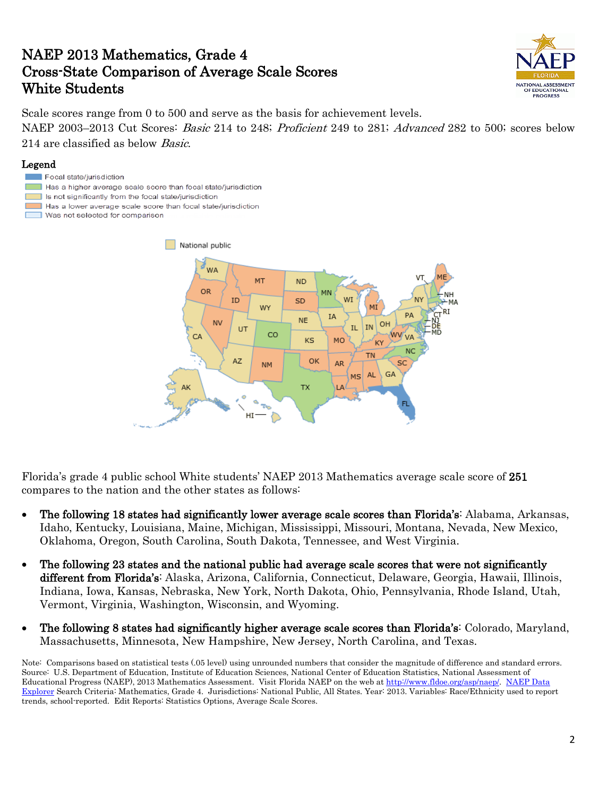# NAEP 2013 Mathematics, Grade 4 Cross-State Comparison of Average Scale Scores White Students



Scale scores range from 0 to 500 and serve as the basis for achievement levels. NAEP 2003–2013 Cut Scores: *Basic* 214 to 248; *Proficient* 249 to 281; *Advanced* 282 to 500; scores below 214 are classified as below Basic.

### Legend

- Focal state/jurisdiction
- $\Box$  Has a higher average scale score than focal state/jurisdiction
- Is not significantly from the focal state/jurisdiction
- Has a lower average scale score than focal state/jurisdiction
- Was not selected for comparison



Florida's grade 4 public school White students' NAEP 2013 Mathematics average scale score of 251 compares to the nation and the other states as follows:

- The following 18 states had significantly lower average scale scores than Florida's: Alabama, Arkansas, Idaho, Kentucky, Louisiana, Maine, Michigan, Mississippi, Missouri, Montana, Nevada, New Mexico, Oklahoma, Oregon, South Carolina, South Dakota, Tennessee, and West Virginia.
- The following 23 states and the national public had average scale scores that were not significantly different from Florida's: Alaska, Arizona, California, Connecticut, Delaware, Georgia, Hawaii, Illinois, Indiana, Iowa, Kansas, Nebraska, New York, North Dakota, Ohio, Pennsylvania, Rhode Island, Utah, Vermont, Virginia, Washington, Wisconsin, and Wyoming.
- The following 8 states had significantly higher average scale scores than Florida's: Colorado, Maryland, Massachusetts, Minnesota, New Hampshire, New Jersey, North Carolina, and Texas.

Note: Comparisons based on statistical tests (.05 level) using unrounded numbers that consider the magnitude of difference and standard errors. Source: U.S. Department of Education, Institute of Education Sciences, National Center of Education Statistics, National Assessment of Educational Progress (NAEP), 2013 Mathematics Assessment. Visit Florida NAEP on the web at [http://www.fldoe.org/asp/naep/.](http://www.fldoe.org/asp/naep/) [NAEP Data](http://nces.ed.gov/nationsreportcard/naepdata/)  [Explorer](http://nces.ed.gov/nationsreportcard/naepdata/) Search Criteria: Mathematics, Grade 4. Jurisdictions: National Public, All States. Year: 2013. Variables: Race/Ethnicity used to report trends, school-reported. Edit Reports: Statistics Options, Average Scale Scores.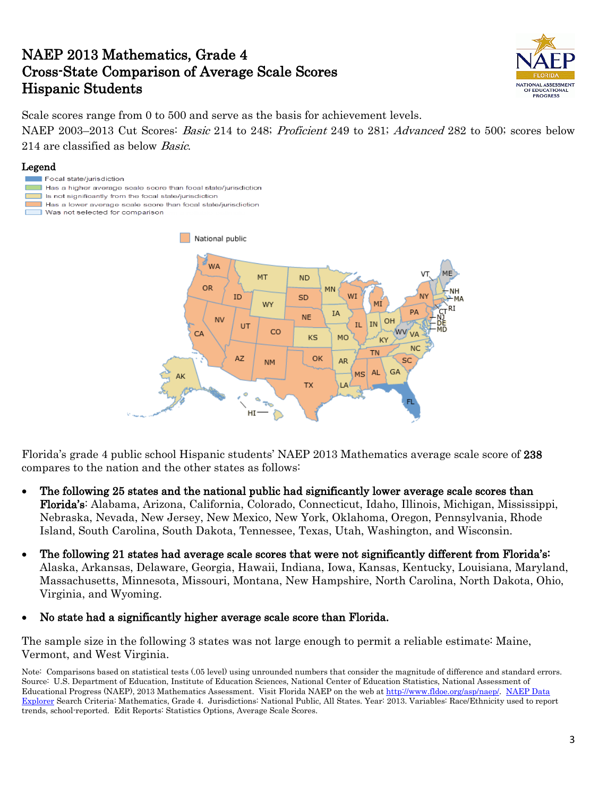### NAEP 2013 Mathematics, Grade 4 Cross-State Comparison of Average Scale Scores Hispanic Students



Scale scores range from 0 to 500 and serve as the basis for achievement levels.

NAEP 2003–2013 Cut Scores: *Basic* 214 to 248; *Proficient* 249 to 281; *Advanced* 282 to 500; scores below 214 are classified as below *Basic*.

### Legend

- Focal state/jurisdiction
- Has a higher average scale score than focal state/jurisdiction
- Is not significantly from the focal state/jurisdiction Has a lower average scale score than focal state/jurisdiction
- Was not selected for comparison



Florida's grade 4 public school Hispanic students' NAEP 2013 Mathematics average scale score of 238 compares to the nation and the other states as follows:

- The following 25 states and the national public had significantly lower average scale scores than Florida's: Alabama, Arizona, California, Colorado, Connecticut, Idaho, Illinois, Michigan, Mississippi, Nebraska, Nevada, New Jersey, New Mexico, New York, Oklahoma, Oregon, Pennsylvania, Rhode Island, South Carolina, South Dakota, Tennessee, Texas, Utah, Washington, and Wisconsin.
- The following 21 states had average scale scores that were not significantly different from Florida's: Alaska, Arkansas, Delaware, Georgia, Hawaii, Indiana, Iowa, Kansas, Kentucky, Louisiana, Maryland, Massachusetts, Minnesota, Missouri, Montana, New Hampshire, North Carolina, North Dakota, Ohio, Virginia, and Wyoming.
- No state had a significantly higher average scale score than Florida.

The sample size in the following 3 states was not large enough to permit a reliable estimate: Maine, Vermont, and West Virginia.

Note: Comparisons based on statistical tests (.05 level) using unrounded numbers that consider the magnitude of difference and standard errors. Source: U.S. Department of Education, Institute of Education Sciences, National Center of Education Statistics, National Assessment of Educational Progress (NAEP), 2013 Mathematics Assessment. Visit Florida NAEP on the web at [http://www.fldoe.org/asp/naep/.](http://www.fldoe.org/asp/naep/) NAEP Data [Explorer](http://nces.ed.gov/nationsreportcard/naepdata/) Search Criteria: Mathematics, Grade 4. Jurisdictions: National Public, All States. Year: 2013. Variables: Race/Ethnicity used to report trends, school-reported. Edit Reports: Statistics Options, Average Scale Scores.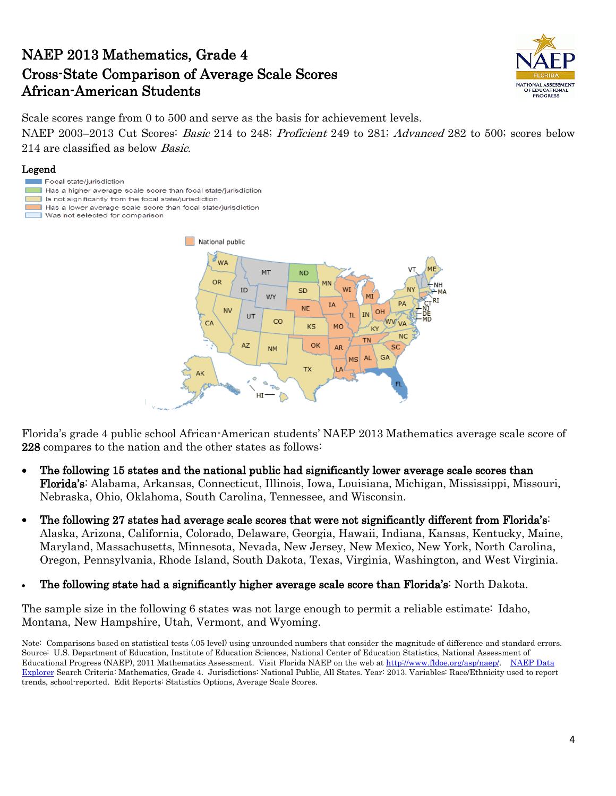# NAEP 2013 Mathematics, Grade 4 Cross-State Comparison of Average Scale Scores African-American Students



Scale scores range from 0 to 500 and serve as the basis for achievement levels.

NAEP 2003–2013 Cut Scores: *Basic* 214 to 248; *Proficient* 249 to 281; *Advanced* 282 to 500; scores below 214 are classified as below Basic.

#### Legend

- Focal state/jurisdiction
- Has a higher average scale score than focal state/jurisdiction
- Is not significantly from the focal state/jurisdiction
- Has a lower average scale score than focal state/jurisdiction
- Was not selected for comparison п



Florida's grade 4 public school African-American students' NAEP 2013 Mathematics average scale score of 228 compares to the nation and the other states as follows:

- The following 15 states and the national public had significantly lower average scale scores than Florida's: Alabama, Arkansas, Connecticut, Illinois, Iowa, Louisiana, Michigan, Mississippi, Missouri, Nebraska, Ohio, Oklahoma, South Carolina, Tennessee, and Wisconsin.
- The following 27 states had average scale scores that were not significantly different from Florida's: Alaska, Arizona, California, Colorado, Delaware, Georgia, Hawaii, Indiana, Kansas, Kentucky, Maine, Maryland, Massachusetts, Minnesota, Nevada, New Jersey, New Mexico, New York, North Carolina, Oregon, Pennsylvania, Rhode Island, South Dakota, Texas, Virginia, Washington, and West Virginia.
- The following state had a significantly higher average scale score than Florida's: North Dakota.

The sample size in the following 6 states was not large enough to permit a reliable estimate: Idaho, Montana, New Hampshire, Utah, Vermont, and Wyoming.

Note: Comparisons based on statistical tests (.05 level) using unrounded numbers that consider the magnitude of difference and standard errors. Source: U.S. Department of Education, Institute of Education Sciences, National Center of Education Statistics, National Assessment of Educational Progress (NAEP), 2011 Mathematics Assessment. Visit Florida NAEP on the web at [http://www.fldoe.org/asp/naep/.](http://www.fldoe.org/asp/naep/) [NAEP Data](http://nces.ed.gov/nationsreportcard/naepdata/)  [Explorer](http://nces.ed.gov/nationsreportcard/naepdata/) Search Criteria: Mathematics, Grade 4. Jurisdictions: National Public, All States. Year: 2013. Variables: Race/Ethnicity used to report trends, school-reported. Edit Reports: Statistics Options, Average Scale Scores.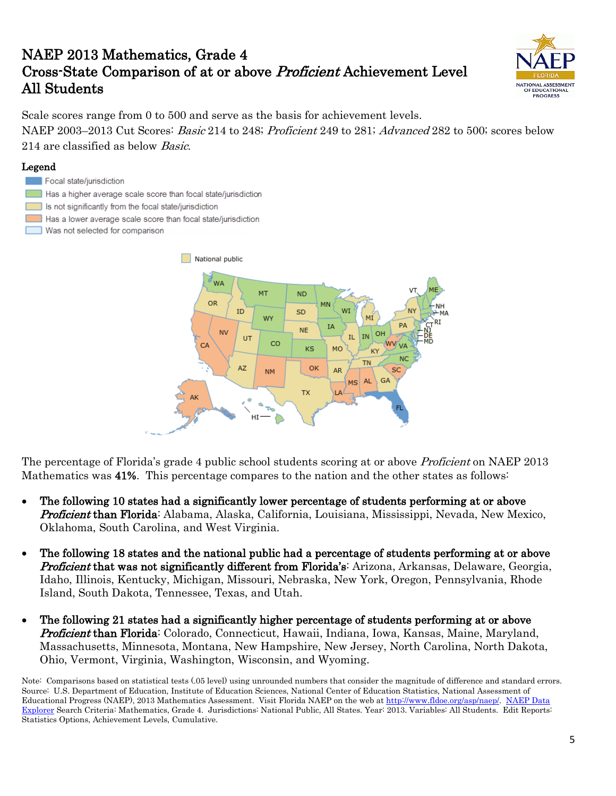# NAEP 2013 Mathematics, Grade 4 Cross-State Comparison of at or above Proficient Achievement Level All Students



Scale scores range from 0 to 500 and serve as the basis for achievement levels. NAEP 2003–2013 Cut Scores: Basic 214 to 248; Proficient 249 to 281; Advanced 282 to 500; scores below 214 are classified as below *Basic*.

### Legend





The percentage of Florida's grade 4 public school students scoring at or above *Proficient* on NAEP 2013 Mathematics was 41%. This percentage compares to the nation and the other states as follows:

- The following 10 states had a significantly lower percentage of students performing at or above Proficient than Florida: Alabama, Alaska, California, Louisiana, Mississippi, Nevada, New Mexico, Oklahoma, South Carolina, and West Virginia.
- The following 18 states and the national public had a percentage of students performing at or above Proficient that was not significantly different from Florida's: Arizona, Arkansas, Delaware, Georgia, Idaho, Illinois, Kentucky, Michigan, Missouri, Nebraska, New York, Oregon, Pennsylvania, Rhode Island, South Dakota, Tennessee, Texas, and Utah.
- The following 21 states had a significantly higher percentage of students performing at or above Proficient than Florida: Colorado, Connecticut, Hawaii, Indiana, Iowa, Kansas, Maine, Maryland, Massachusetts, Minnesota, Montana, New Hampshire, New Jersey, North Carolina, North Dakota, Ohio, Vermont, Virginia, Washington, Wisconsin, and Wyoming.

Note: Comparisons based on statistical tests (.05 level) using unrounded numbers that consider the magnitude of difference and standard errors. Source: U.S. Department of Education, Institute of Education Sciences, National Center of Education Statistics, National Assessment of Educational Progress (NAEP), 2013 Mathematics Assessment. Visit Florida NAEP on the web at [http://www.fldoe.org/asp/naep/.](http://www.fldoe.org/asp/naep/) [NAEP Data](http://nces.ed.gov/nationsreportcard/naepdata/)  [Explorer](http://nces.ed.gov/nationsreportcard/naepdata/) Search Criteria: Mathematics, Grade 4. Jurisdictions: National Public, All States. Year: 2013. Variables: All Students. Edit Reports: Statistics Options, Achievement Levels, Cumulative.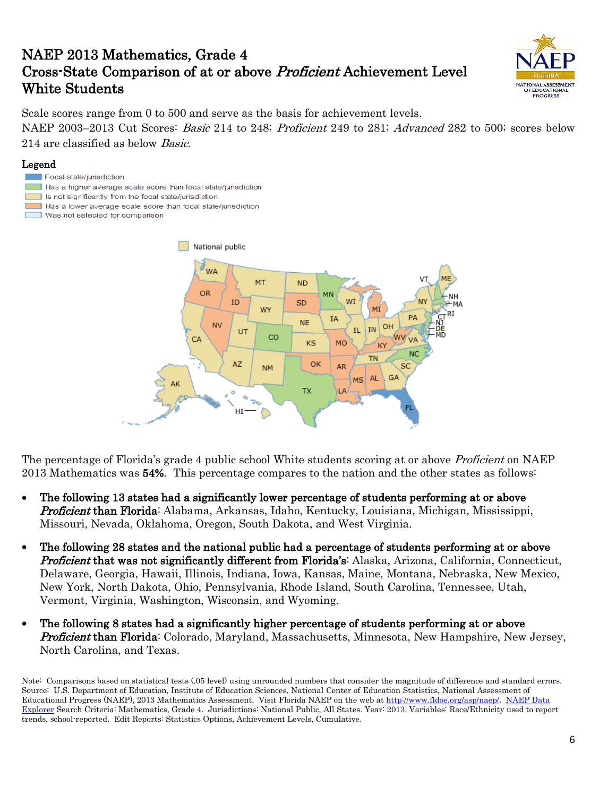# NAEP 2013 Mathematics, Grade 4 Cross-State Comparison of at or above Proficient Achievement Level White Students



Scale scores range from 0 to 500 and serve as the basis for achievement levels. NAEP 2003–2013 Cut Scores: *Basic* 214 to 248; *Proficient* 249 to 281; *Advanced* 282 to 500; scores below 214 are classified as below Basic.

### Legend

- Focal state/jurisdiction
- $\Box$  Has a higher average scale score than focal state/jurisdiction
- Is not significantly from the focal state/jurisdiction
- Has a lower average scale score than focal state/jurisdiction
- Was not selected for comparison



The percentage of Florida's grade 4 public school White students scoring at or above *Proficient* on NAEP 2013 Mathematics was 54%. This percentage compares to the nation and the other states as follows:

- The following 13 states had a significantly lower percentage of students performing at or above **Proficient than Florida**: Alabama, Arkansas, Idaho, Kentucky, Louisiana, Michigan, Mississippi, Missouri, Nevada, Oklahoma, Oregon, South Dakota, and West Virginia.
- The following 28 states and the national public had a percentage of students performing at or above **Proficient that was not significantly different from Florida's:** Alaska, Arizona, California, Connecticut, Delaware, Georgia, Hawaii, Illinois, Indiana, Iowa, Kansas, Maine, Montana, Nebraska, New Mexico, New York, North Dakota, Ohio, Pennsylvania, Rhode Island, South Carolina, Tennessee, Utah, Vermont, Virginia, Washington, Wisconsin, and Wyoming.
- The following 8 states had a significantly higher percentage of students performing at or above **Proficient than Florida**: Colorado, Maryland, Massachusetts, Minnesota, New Hampshire, New Jersey, North Carolina, and Texas.

Note: Comparisons based on statistical tests (.05 level) using unrounded numbers that consider the magnitude of difference and standard errors. Source: U.S. Department of Education, Institute of Education Sciences, National Center of Education Statistics, National Assessment of Educational Progress (NAEP), 2013 Mathematics Assessment. Visit Florida NAEP on the web at [http://www.fldoe.org/asp/naep/.](http://www.fldoe.org/asp/naep/) [NAEP Data](http://nces.ed.gov/nationsreportcard/naepdata/)  [Explorer](http://nces.ed.gov/nationsreportcard/naepdata/) Search Criteria: Mathematics, Grade 4. Jurisdictions: National Public, All States. Year: 2013. Variables: Race/Ethnicity used to report trends, school-reported. Edit Reports: Statistics Options, Achievement Levels, Cumulative.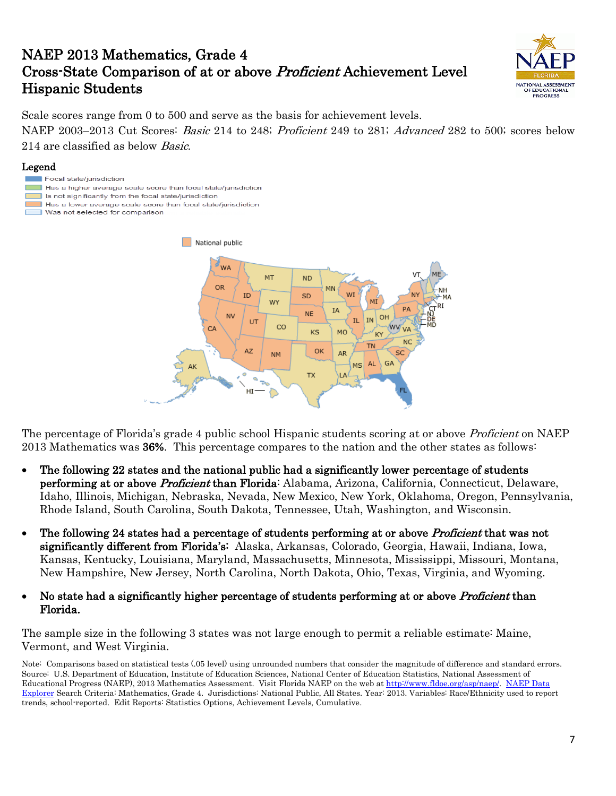# NAEP 2013 Mathematics, Grade 4 Cross-State Comparison of at or above Proficient Achievement Level Hispanic Students



Scale scores range from 0 to 500 and serve as the basis for achievement levels.

NAEP 2003–2013 Cut Scores: *Basic* 214 to 248; *Proficient* 249 to 281; *Advanced* 282 to 500; scores below 214 are classified as below *Basic*.

### Legend

- Focal state/jurisdiction
- Has a higher average scale score than focal state/jurisdiction
- Is not significantly from the focal state/jurisdiction
- Has a lower average scale score than focal state/jurisdiction
- Was not selected for comparison



The percentage of Florida's grade 4 public school Hispanic students scoring at or above *Proficient* on NAEP 2013 Mathematics was 36%. This percentage compares to the nation and the other states as follows:

- The following 22 states and the national public had a significantly lower percentage of students performing at or above Proficient than Florida: Alabama, Arizona, California, Connecticut, Delaware, Idaho, Illinois, Michigan, Nebraska, Nevada, New Mexico, New York, Oklahoma, Oregon, Pennsylvania, Rhode Island, South Carolina, South Dakota, Tennessee, Utah, Washington, and Wisconsin.
- The following 24 states had a percentage of students performing at or above *Proficient* that was not significantly different from Florida's: Alaska, Arkansas, Colorado, Georgia, Hawaii, Indiana, Iowa, Kansas, Kentucky, Louisiana, Maryland, Massachusetts, Minnesota, Mississippi, Missouri, Montana, New Hampshire, New Jersey, North Carolina, North Dakota, Ohio, Texas, Virginia, and Wyoming.
- No state had a significantly higher percentage of students performing at or above *Proficient* than Florida.

The sample size in the following 3 states was not large enough to permit a reliable estimate: Maine, Vermont, and West Virginia.

Note: Comparisons based on statistical tests (.05 level) using unrounded numbers that consider the magnitude of difference and standard errors. Source: U.S. Department of Education, Institute of Education Sciences, National Center of Education Statistics, National Assessment of Educational Progress (NAEP), 2013 Mathematics Assessment. Visit Florida NAEP on the web at [http://www.fldoe.org/asp/naep/.](http://www.fldoe.org/asp/naep/) [NAEP Data](http://nces.ed.gov/nationsreportcard/naepdata/)  [Explorer](http://nces.ed.gov/nationsreportcard/naepdata/) Search Criteria: Mathematics, Grade 4. Jurisdictions: National Public, All States. Year: 2013. Variables: Race/Ethnicity used to report trends, school-reported. Edit Reports: Statistics Options, Achievement Levels, Cumulative.